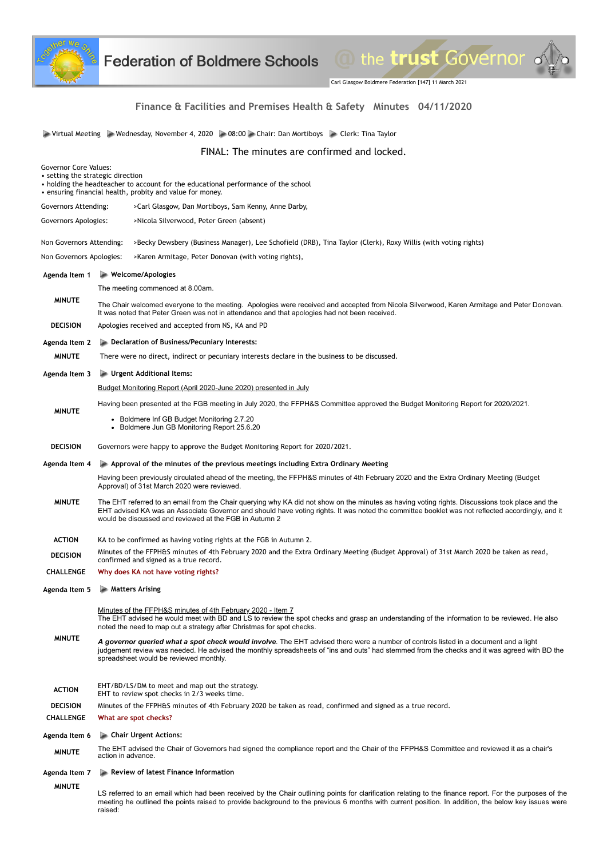

Carl Glasgow Boldmere Federation [147] 11 March 2021

the trust Governor .

# **Finance & Facilities and Premises Health & Safety Minutes 04/11/2020**

Virtual Meeting Wednesday, November 4, 2020 08:00 Chair: Dan Mortiboys Clerk: Tina Taylor

FINAL: The minutes are confirmed and locked.

| <b>Governor Core Values:</b><br>• setting the strategic direction<br>• holding the headteacher to account for the educational performance of the school<br>• ensuring financial health, probity and value for money. |                                                                                                                                                                                                                                                                                                                                                                                                                              |
|----------------------------------------------------------------------------------------------------------------------------------------------------------------------------------------------------------------------|------------------------------------------------------------------------------------------------------------------------------------------------------------------------------------------------------------------------------------------------------------------------------------------------------------------------------------------------------------------------------------------------------------------------------|
| Governors Attending:                                                                                                                                                                                                 | >Carl Glasgow, Dan Mortiboys, Sam Kenny, Anne Darby,                                                                                                                                                                                                                                                                                                                                                                         |
| Governors Apologies:                                                                                                                                                                                                 | >Nicola Silverwood, Peter Green (absent)                                                                                                                                                                                                                                                                                                                                                                                     |
| Non Governors Attending:                                                                                                                                                                                             | >Becky Dewsbery (Business Manager), Lee Schofield (DRB), Tina Taylor (Clerk), Roxy Willis (with voting rights)                                                                                                                                                                                                                                                                                                               |
| Non Governors Apologies:                                                                                                                                                                                             | >Karen Armitage, Peter Donovan (with voting rights),                                                                                                                                                                                                                                                                                                                                                                         |
| Agenda Item 1                                                                                                                                                                                                        | $\blacktriangleright$ Welcome/Apologies                                                                                                                                                                                                                                                                                                                                                                                      |
|                                                                                                                                                                                                                      | The meeting commenced at 8.00am.                                                                                                                                                                                                                                                                                                                                                                                             |
| <b>MINUTE</b>                                                                                                                                                                                                        | The Chair welcomed everyone to the meeting. Apologies were received and accepted from Nicola Silverwood, Karen Armitage and Peter Donovan.<br>It was noted that Peter Green was not in attendance and that apologies had not been received.                                                                                                                                                                                  |
| <b>DECISION</b>                                                                                                                                                                                                      | Apologies received and accepted from NS, KA and PD                                                                                                                                                                                                                                                                                                                                                                           |
| Agenda Item 2                                                                                                                                                                                                        | Declaration of Business/Pecuniary Interests:                                                                                                                                                                                                                                                                                                                                                                                 |
| <b>MINUTE</b>                                                                                                                                                                                                        | There were no direct, indirect or pecuniary interests declare in the business to be discussed.                                                                                                                                                                                                                                                                                                                               |
| Agenda Item 3                                                                                                                                                                                                        | Urgent Additional Items:                                                                                                                                                                                                                                                                                                                                                                                                     |
|                                                                                                                                                                                                                      | Budget Monitoring Report (April 2020-June 2020) presented in July                                                                                                                                                                                                                                                                                                                                                            |
| <b>MINUTE</b>                                                                                                                                                                                                        | Having been presented at the FGB meeting in July 2020, the FFPH&S Committee approved the Budget Monitoring Report for 2020/2021.                                                                                                                                                                                                                                                                                             |
|                                                                                                                                                                                                                      | • Boldmere Inf GB Budget Monitoring 2.7.20<br>• Boldmere Jun GB Monitoring Report 25.6.20                                                                                                                                                                                                                                                                                                                                    |
| <b>DECISION</b>                                                                                                                                                                                                      | Governors were happy to approve the Budget Monitoring Report for 2020/2021.                                                                                                                                                                                                                                                                                                                                                  |
| Agenda Item 4                                                                                                                                                                                                        | $\blacktriangleright$ Approval of the minutes of the previous meetings including Extra Ordinary Meeting                                                                                                                                                                                                                                                                                                                      |
|                                                                                                                                                                                                                      | Having been previously circulated ahead of the meeting, the FFPH&S minutes of 4th February 2020 and the Extra Ordinary Meeting (Budget<br>Approval) of 31st March 2020 were reviewed.                                                                                                                                                                                                                                        |
| <b>MINUTE</b>                                                                                                                                                                                                        | The EHT referred to an email from the Chair querying why KA did not show on the minutes as having voting rights. Discussions took place and the<br>EHT advised KA was an Associate Governor and should have voting rights. It was noted the committee booklet was not reflected accordingly, and it<br>would be discussed and reviewed at the FGB in Autumn 2                                                                |
| <b>ACTION</b>                                                                                                                                                                                                        | KA to be confirmed as having voting rights at the FGB in Autumn 2.                                                                                                                                                                                                                                                                                                                                                           |
| <b>DECISION</b>                                                                                                                                                                                                      | Minutes of the FFPH&S minutes of 4th February 2020 and the Extra Ordinary Meeting (Budget Approval) of 31st March 2020 be taken as read,<br>confirmed and signed as a true record.                                                                                                                                                                                                                                           |
| <b>CHALLENGE</b>                                                                                                                                                                                                     | Why does KA not have voting rights?                                                                                                                                                                                                                                                                                                                                                                                          |
| Agenda Item 5                                                                                                                                                                                                        | <b>ARKAI</b> Matters Arising                                                                                                                                                                                                                                                                                                                                                                                                 |
| <b>MINUTE</b>                                                                                                                                                                                                        | Minutes of the FFPH&S minutes of 4th February 2020 - Item 7<br>The EHT advised he would meet with BD and LS to review the spot checks and grasp an understanding of the information to be reviewed. He also<br>noted the need to map out a strategy after Christmas for spot checks.<br>A governor queried what a spot check would involve. The EHT advised there were a number of controls listed in a document and a light |
|                                                                                                                                                                                                                      | judgement review was needed. He advised the monthly spreadsheets of "ins and outs" had stemmed from the checks and it was agreed with BD the<br>spreadsheet would be reviewed monthly.<br>EHT/BD/LS/DM to meet and map out the strategy.                                                                                                                                                                                     |
| <b>ACTION</b>                                                                                                                                                                                                        | EHT to review spot checks in 2/3 weeks time.                                                                                                                                                                                                                                                                                                                                                                                 |
| <b>DECISION</b>                                                                                                                                                                                                      | Minutes of the FFPH&S minutes of 4th February 2020 be taken as read, confirmed and signed as a true record.                                                                                                                                                                                                                                                                                                                  |
| <b>CHALLENGE</b>                                                                                                                                                                                                     | What are spot checks?                                                                                                                                                                                                                                                                                                                                                                                                        |
| Agenda Item 6                                                                                                                                                                                                        | Chair Urgent Actions:                                                                                                                                                                                                                                                                                                                                                                                                        |
| <b>MINUTE</b>                                                                                                                                                                                                        | The EHT advised the Chair of Governors had signed the compliance report and the Chair of the FFPH&S Committee and reviewed it as a chair's<br>action in advance.                                                                                                                                                                                                                                                             |
| Agenda Item 7                                                                                                                                                                                                        | Review of latest Finance Information                                                                                                                                                                                                                                                                                                                                                                                         |
| <b>MINUTE</b>                                                                                                                                                                                                        | LS referred to an email which had been received by the Chair outlining points for clarification relating to the finance report. For the purposes of the                                                                                                                                                                                                                                                                      |

meeting he outlined the points raised to provide background to the previous 6 months with current position. In addition, the below key issues were raised: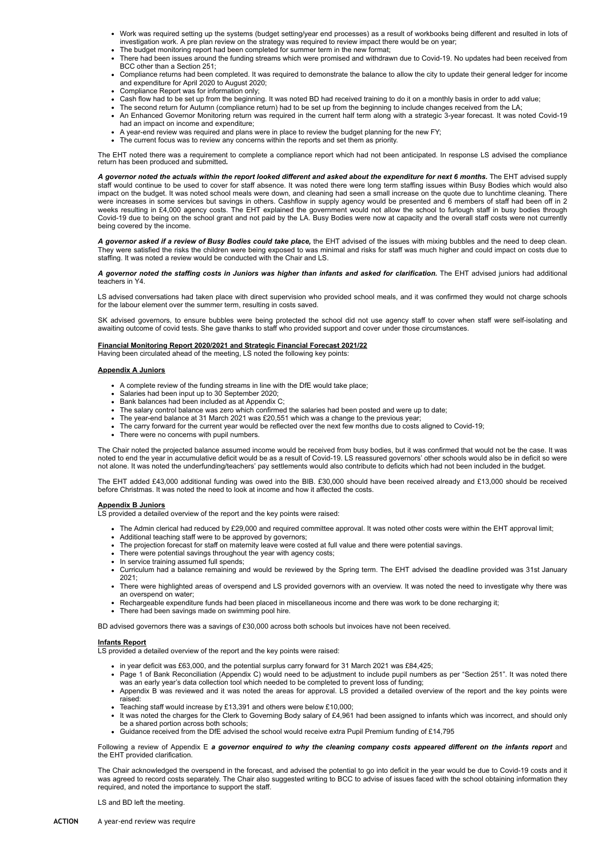- Work was required setting up the systems (budget setting/year end processes) as a result of workbooks being different and resulted in lots of investigation work. A pre plan review on the strategy was required to review impact there would be on year;
- The budget monitoring report had been completed for summer term in the new format;
- There had been issues around the funding streams which were promised and withdrawn due to Covid-19. No updates had been received from BCC other than a Section 251;
- Compliance returns had been completed. It was required to demonstrate the balance to allow the city to update their general ledger for income and expenditure for April 2020 to August 2020;
- Compliance Report was for information only;
- Cash flow had to be set up from the beginning. It was noted BD had received training to do it on a monthly basis in order to add value;
- The second return for Autumn (compliance return) had to be set up from the beginning to include changes received from the LA;
- An Enhanced Governor Monitoring return was required in the current half term along with a strategic 3-year forecast. It was noted Covid-19 had an impact on income and expenditure;
- A year-end review was required and plans were in place to review the budget planning for the new FY;
- The current focus was to review any concerns within the reports and set them as priority.

The EHT noted there was a requirement to complete a compliance report which had not been anticipated. In response LS advised the compliance return has been produced and submitted*.*

A governor noted the actuals within the report looked different and asked about the expenditure for next 6 months. The EHT advised supply staff would continue to be used to cover for staff absence. It was noted there were long term staffing issues within Busy Bodies which would also impact on the budget. It was noted school meals were down, and cleaning had seen a small increase on the quote due to lunchtime cleaning. There were increases in some services but savings in others. Cashflow in supply agency would be presented and 6 members of staff had been off in 2 weeks resulting in £4,000 agency costs. The EHT explained the government would not allow the school to furlough staff in busy bodies through Covid-19 due to being on the school grant and not paid by the LA. Busy Bodies were now at capacity and the overall staff costs were not currently being covered by the income.

*A governor asked if a review of Busy Bodies could take place,* the EHT advised of the issues with mixing bubbles and the need to deep clean. They were satisfied the risks the children were being exposed to was minimal and risks for staff was much higher and could impact on costs due to staffing. It was noted a review would be conducted with the Chair and LS.

*A governor noted the staffing costs in Juniors was higher than infants and asked for clarification.* The EHT advised juniors had additional teachers in Y4.

LS advised conversations had taken place with direct supervision who provided school meals, and it was confirmed they would not charge schools for the labour element over the summer term, resulting in costs saved.

SK advised governors, to ensure bubbles were being protected the school did not use agency staff to cover when staff were self-isolating and awaiting outcome of covid tests. She gave thanks to staff who provided support and cover under those circumstances.

# **Financial Monitoring Report 2020/2021 and Strategic Financial Forecast 2021/22**

Having been circulated ahead of the meeting, LS noted the following key points:

#### **Appendix A Juniors**

- A complete review of the funding streams in line with the DfE would take place;
- Salaries had been input up to 30 September 2020;
- Bank balances had been included as at Appendix C;
- The salary control balance was zero which confirmed the salaries had been posted and were up to date;
- The year-end balance at 31 March 2021 was £20,551 which was a change to the previous year;
- The carry forward for the current year would be reflected over the next few months due to costs aligned to Covid-19;
- There were no concerns with pupil numbers.

The Chair noted the projected balance assumed income would be received from busy bodies, but it was confirmed that would not be the case. It was noted to end the year in accumulative deficit would be as a result of Covid-19. LS reassured governors' other schools would also be in deficit so were not alone. It was noted the underfunding/teachers' pay settlements would also contribute to deficits which had not been included in the budget.

The EHT added £43,000 additional funding was owed into the BIB. £30,000 should have been received already and £13,000 should be received before Christmas. It was noted the need to look at income and how it affected the costs.

## **Appendix B Juniors**

LS provided a detailed overview of the report and the key points were raised:

- The Admin clerical had reduced by £29,000 and required committee approval. It was noted other costs were within the EHT approval limit;
- Additional teaching staff were to be approved by governors;
- The projection forecast for staff on maternity leave were costed at full value and there were potential savings.
- There were potential savings throughout the year with agency costs;
- In service training assumed full spends;
- Curriculum had a balance remaining and would be reviewed by the Spring term. The EHT advised the deadline provided was 31st January  $2021$
- There were highlighted areas of overspend and LS provided governors with an overview. It was noted the need to investigate why there was an overspend on water;
- Rechargeable expenditure funds had been placed in miscellaneous income and there was work to be done recharging it;
- There had been savings made on swimming pool hire.

BD advised governors there was a savings of £30,000 across both schools but invoices have not been received.

## **Infants Report**

LS provided a detailed overview of the report and the key points were raised:

- in year deficit was £63,000, and the potential surplus carry forward for 31 March 2021 was £84,425;
- Page 1 of Bank Reconciliation (Appendix C) would need to be adjustment to include pupil numbers as per "Section 251". It was noted there was an early year's data collection tool which needed to be completed to prevent loss of funding;
- Appendix B was reviewed and it was noted the areas for approval. LS provided a detailed overview of the report and the key points were raised:
- Teaching staff would increase by £13,391 and others were below £10,000;
- It was noted the charges for the Clerk to Governing Body salary of £4,961 had been assigned to infants which was incorrect, and should only be a shared portion across both schools;
- Guidance received from the DfE advised the school would receive extra Pupil Premium funding of £14,795

Following a review of Appendix E *a governor enquired to why the cleaning company costs appeared different on the infants report* and the EHT provided clarification.

The Chair acknowledged the overspend in the forecast, and advised the potential to go into deficit in the year would be due to Covid-19 costs and it was agreed to record costs separately. The Chair also suggested writing to BCC to advise of issues faced with the school obtaining information they required, and noted the importance to support the staff.

LS and BD left the meeting.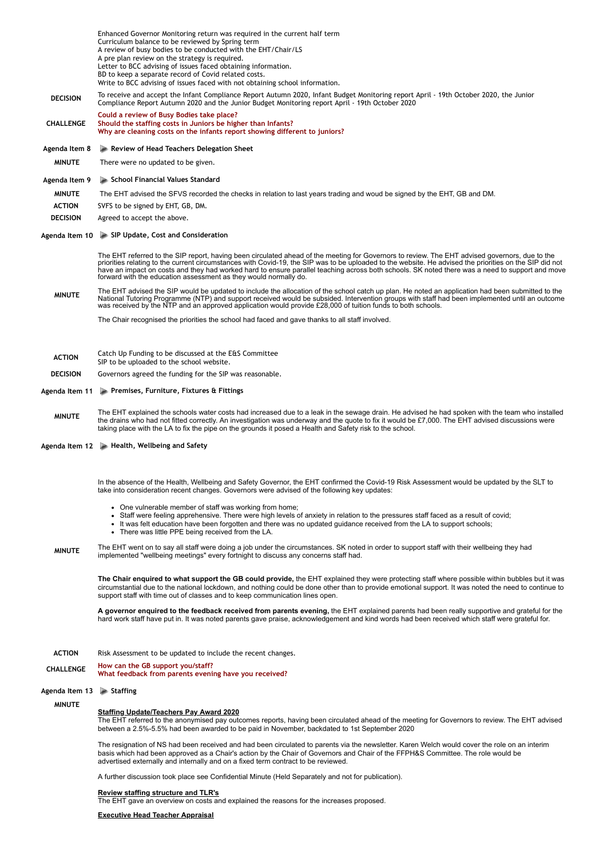|                  | Enhanced Governor Monitoring return was required in the current half term<br>Curriculum balance to be reviewed by Spring term<br>A review of busy bodies to be conducted with the EHT/Chair/LS                                                                                                                                                                                                                                                                                                                                   |
|------------------|----------------------------------------------------------------------------------------------------------------------------------------------------------------------------------------------------------------------------------------------------------------------------------------------------------------------------------------------------------------------------------------------------------------------------------------------------------------------------------------------------------------------------------|
|                  | A pre plan review on the strategy is required.<br>Letter to BCC advising of issues faced obtaining information.                                                                                                                                                                                                                                                                                                                                                                                                                  |
|                  | BD to keep a separate record of Covid related costs.<br>Write to BCC advising of issues faced with not obtaining school information.                                                                                                                                                                                                                                                                                                                                                                                             |
| <b>DECISION</b>  | To receive and accept the Infant Compliance Report Autumn 2020, Infant Budget Monitoring report April - 19th October 2020, the Junior<br>Compliance Report Autumn 2020 and the Junior Budget Monitoring report April - 19th October 2020                                                                                                                                                                                                                                                                                         |
| CHALLENGE        | Could a review of Busy Bodies take place?<br>Should the staffing costs in Juniors be higher than Infants?<br>Why are cleaning costs on the infants report showing different to juniors?                                                                                                                                                                                                                                                                                                                                          |
| Agenda Item 8    | Review of Head Teachers Delegation Sheet                                                                                                                                                                                                                                                                                                                                                                                                                                                                                         |
| <b>MINUTE</b>    | There were no updated to be given.                                                                                                                                                                                                                                                                                                                                                                                                                                                                                               |
| Agenda Item 9    | School Financial Values Standard                                                                                                                                                                                                                                                                                                                                                                                                                                                                                                 |
| <b>MINUTE</b>    | The EHT advised the SFVS recorded the checks in relation to last years trading and woud be signed by the EHT, GB and DM.                                                                                                                                                                                                                                                                                                                                                                                                         |
| <b>ACTION</b>    | SVFS to be signed by EHT, GB, DM.                                                                                                                                                                                                                                                                                                                                                                                                                                                                                                |
| <b>DECISION</b>  | Agreed to accept the above.                                                                                                                                                                                                                                                                                                                                                                                                                                                                                                      |
|                  | Agenda Item 10 > SIP Update, Cost and Consideration                                                                                                                                                                                                                                                                                                                                                                                                                                                                              |
|                  | The EHT referred to the SIP report, having been circulated ahead of the meeting for Governors to review. The EHT advised governors, due to the<br>priorities relating to the current circumstances with Covid-19, the SIP was to be uploaded to the website. He advised the priorities on the SIP did not<br>have an impact on costs and they had worked hard to ensure parallel teaching across both schools. SK noted there was a need to support and move<br>forward with the education assessment as they would normally do. |
| <b>MINUTE</b>    | The EHT advised the SIP would be updated to include the allocation of the school catch up plan. He noted an application had been submitted to the<br>National Tutoring Programme (NTP) and support received would be subsided. Intervention groups with staff had been implemented until an outcome<br>was received by the NTP and an approved application would provide £28,000 of tuition funds to both schools.                                                                                                               |
|                  | The Chair recognised the priorities the school had faced and gave thanks to all staff involved.                                                                                                                                                                                                                                                                                                                                                                                                                                  |
| <b>ACTION</b>    | Catch Up Funding to be discussed at the E&S Committee                                                                                                                                                                                                                                                                                                                                                                                                                                                                            |
| <b>DECISION</b>  | SIP to be uploaded to the school website.<br>Governors agreed the funding for the SIP was reasonable.                                                                                                                                                                                                                                                                                                                                                                                                                            |
| Agenda Item 11   | Premises, Furniture, Fixtures & Fittings                                                                                                                                                                                                                                                                                                                                                                                                                                                                                         |
|                  | The EHT explained the schools water costs had increased due to a leak in the sewage drain. He advised he had spoken with the team who installed                                                                                                                                                                                                                                                                                                                                                                                  |
| <b>MINUTE</b>    | the drains who had not fitted correctly. An investigation was underway and the quote to fix it would be £7,000. The EHT advised discussions were<br>taking place with the LA to fix the pipe on the grounds it posed a Health and Safety risk to the school.                                                                                                                                                                                                                                                                     |
|                  | Agenda Item 12 > Health, Wellbeing and Safety                                                                                                                                                                                                                                                                                                                                                                                                                                                                                    |
|                  |                                                                                                                                                                                                                                                                                                                                                                                                                                                                                                                                  |
|                  | In the absence of the Health, Wellbeing and Safety Governor, the EHT confirmed the Covid-19 Risk Assessment would be updated by the SLT to<br>take into consideration recent changes. Governors were advised of the following key updates:                                                                                                                                                                                                                                                                                       |
|                  | • One vulnerable member of staff was working from home;<br>• Staff were feeling apprehensive. There were high levels of anxiety in relation to the pressures staff faced as a result of covid;<br>• It was felt education have been forgotten and there was no updated guidance received from the LA to support schools;<br>• There was little PPE being received from the LA.                                                                                                                                                   |
| <b>MINUTE</b>    | The EHT went on to say all staff were doing a job under the circumstances. SK noted in order to support staff with their wellbeing they had<br>implemented "wellbeing meetings" every fortnight to discuss any concerns staff had.                                                                                                                                                                                                                                                                                               |
|                  | The Chair enquired to what support the GB could provide, the EHT explained they were protecting staff where possible within bubbles but it was<br>circumstantial due to the national lockdown, and nothing could be done other than to provide emotional support. It was noted the need to continue to<br>support staff with time out of classes and to keep communication lines open.                                                                                                                                           |
|                  | A governor enquired to the feedback received from parents evening, the EHT explained parents had been really supportive and grateful for the<br>hard work staff have put in. It was noted parents gave praise, acknowledgement and kind words had been received which staff were grateful for.                                                                                                                                                                                                                                   |
| <b>ACTION</b>    | Risk Assessment to be updated to include the recent changes.                                                                                                                                                                                                                                                                                                                                                                                                                                                                     |
| <b>CHALLENGE</b> | How can the GB support you/staff?<br>What feedback from parents evening have you received?                                                                                                                                                                                                                                                                                                                                                                                                                                       |
| Agenda Item 13   |                                                                                                                                                                                                                                                                                                                                                                                                                                                                                                                                  |
|                  | $\triangleright$ Staffing                                                                                                                                                                                                                                                                                                                                                                                                                                                                                                        |
| <b>MINUTE</b>    |                                                                                                                                                                                                                                                                                                                                                                                                                                                                                                                                  |
|                  | <b>Staffing Update/Teachers Pay Award 2020</b><br>The EHT referred to the anonymised pay outcomes reports, having been circulated ahead of the meeting for Governors to review. The EHT advised<br>between a 2.5%-5.5% had been awarded to be paid in November, backdated to 1st September 2020                                                                                                                                                                                                                                  |
|                  | The resignation of NS had been received and had been circulated to parents via the newsletter. Karen Welch would cover the role on an interim<br>basis which had been approved as a Chair's action by the Chair of Governors and Chair of the FFPH&S Committee. The role would be<br>advertised externally and internally and on a fixed term contract to be reviewed.                                                                                                                                                           |
|                  | A further discussion took place see Confidential Minute (Held Separately and not for publication).                                                                                                                                                                                                                                                                                                                                                                                                                               |
|                  | <b>Review staffing structure and TLR's</b><br>The EHT gave an overview on costs and explained the reasons for the increases proposed.                                                                                                                                                                                                                                                                                                                                                                                            |